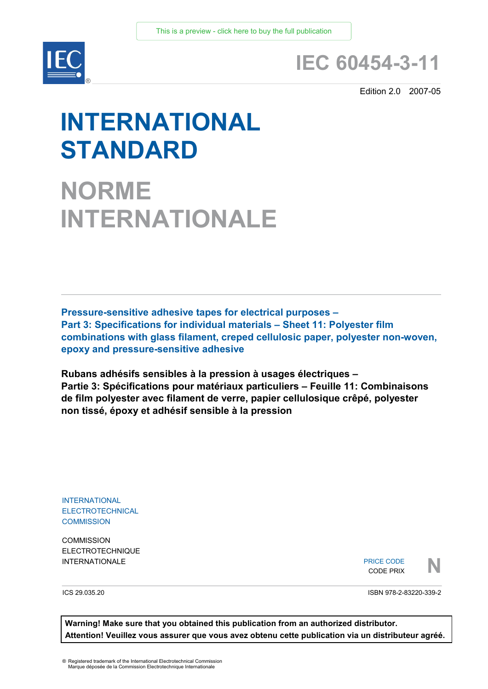

# **IEC 60454-3-11**

Edition 2.0 2007-05

# **INTERNATIONAL STANDARD**

**NORME INTERNATIONALE**

**Pressure-sensitive adhesive tapes for electrical purposes – Part 3: Specifications for individual materials – Sheet 11: Polyester film combinations with glass filament, creped cellulosic paper, polyester non-woven, epoxy and pressure-sensitive adhesive** 

**Rubans adhésifs sensibles à la pression à usages électriques – Partie 3: Spécifications pour matériaux particuliers – Feuille 11: Combinaisons de film polyester avec filament de verre, papier cellulosique crêpé, polyester non tissé, époxy et adhésif sensible à la pression**

INTERNATIONAL ELECTROTECHNICAL **COMMISSION** 

**COMMISSION** ELECTROTECHNIQUE

INTERNATIONALE PRICE CODE PRIX PRICE CODE CODE PRIX



ICS 29.035.20

ISBN 978-2-83220-339-2

**Warning! Make sure that you obtained this publication from an authorized distributor. Attention! Veuillez vous assurer que vous avez obtenu cette publication via un distributeur agréé.**

® Registered trademark of the International Electrotechnical Commission Marque déposée de la Commission Electrotechnique Internationale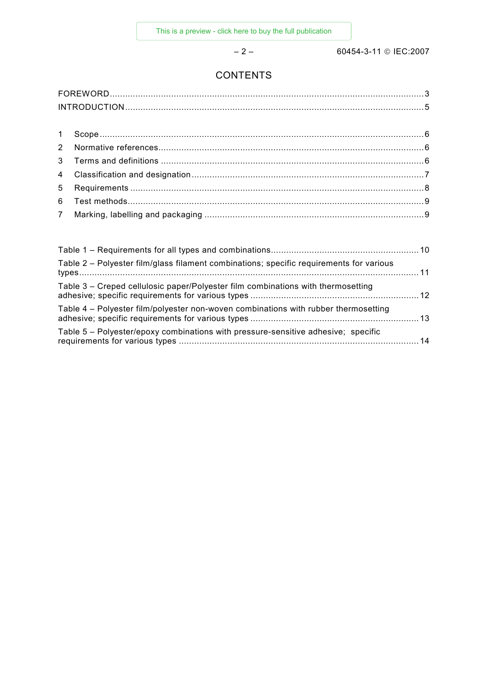$-2 - 60454 - 3 - 11 \odot 1EC: 2007$ 

# **CONTENTS**

| Table 2 - Polyester film/glass filament combinations; specific requirements for various |  |
|-----------------------------------------------------------------------------------------|--|
| Table 3 – Creped cellulosic paper/Polyester film combinations with thermosetting        |  |
| Table 4 – Polyester film/polyester non-woven combinations with rubber thermosetting     |  |

7 Marking, labelling and packaging ...................................................................................... 9

| Table 5 – Polyester/epoxy combinations with pressure-sensitive adhesive; specific |  |
|-----------------------------------------------------------------------------------|--|
|                                                                                   |  |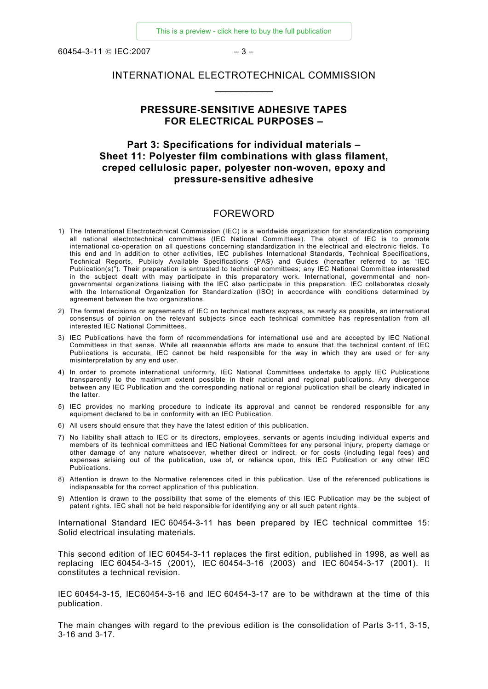$60454 - 3 - 11 \odot 1E$ C:2007 – 3 –

#### INTERNATIONAL ELECTROTECHNICAL COMMISSION  $\overline{\phantom{a}}$

#### **PRESSURE-SENSITIVE ADHESIVE TAPES FOR ELECTRICAL PURPOSES –**

## **Part 3: Specifications for individual materials – Sheet 11: Polyester film combinations with glass filament, creped cellulosic paper, polyester non-woven, epoxy and pressure-sensitive adhesive**

#### FOREWORD

- 1) The International Electrotechnical Commission (IEC) is a worldwide organization for standardization comprising all national electrotechnical committees (IEC National Committees). The object of IEC is to promote international co-operation on all questions concerning standardization in the electrical and electronic fields. To this end and in addition to other activities, IEC publishes International Standards, Technical Specifications, Technical Reports, Publicly Available Specifications (PAS) and Guides (hereafter referred to as "IEC Publication(s)"). Their preparation is entrusted to technical committees; any IEC National Committee interested in the subject dealt with may participate in this preparatory work. International, governmental and nongovernmental organizations liaising with the IEC also participate in this preparation. IEC collaborates closely with the International Organization for Standardization (ISO) in accordance with conditions determined by agreement between the two organizations.
- 2) The formal decisions or agreements of IEC on technical matters express, as nearly as possible, an international consensus of opinion on the relevant subjects since each technical committee has representation from all interested IEC National Committees.
- 3) IEC Publications have the form of recommendations for international use and are accepted by IEC National Committees in that sense. While all reasonable efforts are made to ensure that the technical content of IEC Publications is accurate, IEC cannot be held responsible for the way in which they are used or for any misinterpretation by any end user.
- 4) In order to promote international uniformity, IEC National Committees undertake to apply IEC Publications transparently to the maximum extent possible in their national and regional publications. Any divergence between any IEC Publication and the corresponding national or regional publication shall be clearly indicated in the latter.
- 5) IEC provides no marking procedure to indicate its approval and cannot be rendered responsible for any equipment declared to be in conformity with an IEC Publication.
- 6) All users should ensure that they have the latest edition of this publication.
- 7) No liability shall attach to IEC or its directors, employees, servants or agents including individual experts and members of its technical committees and IEC National Committees for any personal injury, property damage or other damage of any nature whatsoever, whether direct or indirect, or for costs (including legal fees) and expenses arising out of the publication, use of, or reliance upon, this IEC Publication or any other IEC Publications.
- 8) Attention is drawn to the Normative references cited in this publication. Use of the referenced publications is indispensable for the correct application of this publication.
- 9) Attention is drawn to the possibility that some of the elements of this IEC Publication may be the subject of patent rights. IEC shall not be held responsible for identifying any or all such patent rights.

International Standard IEC 60454-3-11 has been prepared by IEC technical committee 15: Solid electrical insulating materials.

This second edition of IEC 60454-3-11 replaces the first edition, published in 1998, as well as replacing IEC 60454-3-15 (2001), IEC 60454-3-16 (2003) and IEC 60454-3-17 (2001). It constitutes a technical revision.

IEC 60454-3-15, IEC60454-3-16 and IEC 60454-3-17 are to be withdrawn at the time of this publication.

The main changes with regard to the previous edition is the consolidation of Parts 3-11, 3-15, 3-16 and 3-17.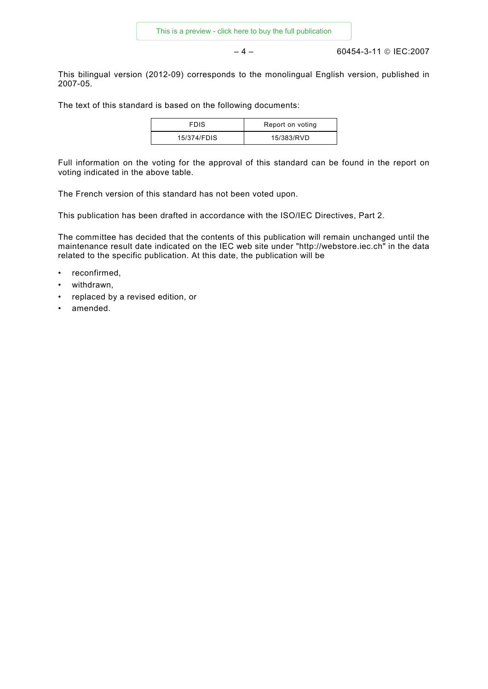$-4 -$  60454-3-11 © IEC:2007

This bilingual version (2012-09) corresponds to the monolingual English version, published in 2007-05.

The text of this standard is based on the following documents:

| <b>FDIS</b> | Report on voting |
|-------------|------------------|
| 15/374/FDIS | 15/383/RVD       |

Full information on the voting for the approval of this standard can be found in the report on voting indicated in the above table.

The French version of this standard has not been voted upon.

This publication has been drafted in accordance with the ISO/IEC Directives, Part 2.

The committee has decided that the contents of this publication will remain unchanged until the maintenance result date indicated on the IEC web site under "http://webstore.iec.ch" in the data related to the specific publication. At this date, the publication will be

- reconfirmed,
- withdrawn.
- replaced by a revised edition, or
- amended.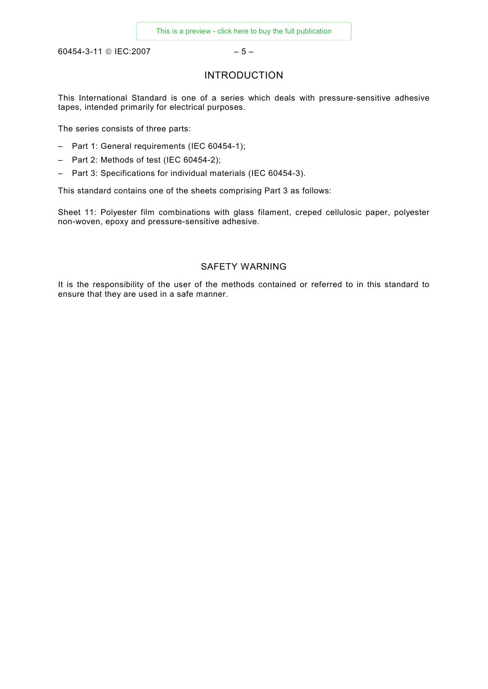$60454-3-11$  © IEC:2007 – 5 –

## INTRODUCTION

This International Standard is one of a series which deals with pressure-sensitive adhesive tapes, intended primarily for electrical purposes.

The series consists of three parts:

- Part 1: General requirements (IEC 60454-1);
- Part 2: Methods of test (IEC 60454-2);
- Part 3: Specifications for individual materials (IEC 60454-3).

This standard contains one of the sheets comprising Part 3 as follows:

Sheet 11: Polyester film combinations with glass filament, creped cellulosic paper, polyester non-woven, epoxy and pressure-sensitive adhesive.

#### SAFETY WARNING

It is the responsibility of the user of the methods contained or referred to in this standard to ensure that they are used in a safe manner.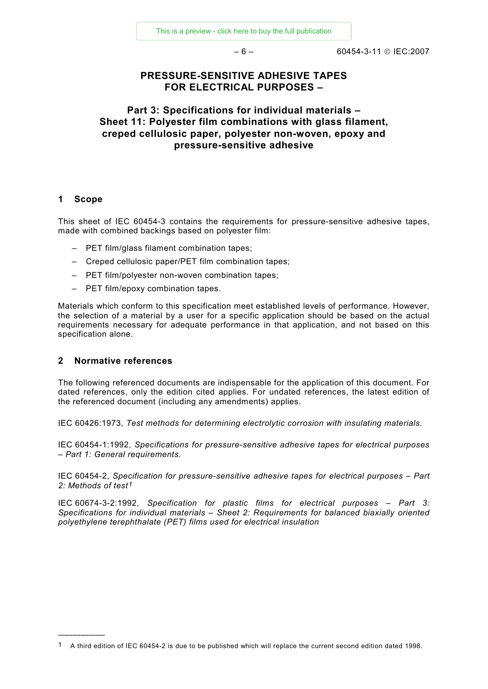$-6 - 6$  60454-3-11 © IEC:2007

#### **PRESSURE-SENSITIVE ADHESIVE TAPES FOR ELECTRICAL PURPOSES –**

# **Part 3: Specifications for individual materials – Sheet 11: Polyester film combinations with glass filament, creped cellulosic paper, polyester non-woven, epoxy and pressure-sensitive adhesive**

#### **1 Scope**

 $\overline{\phantom{a}}$ 

This sheet of IEC 60454-3 contains the requirements for pressure-sensitive adhesive tapes, made with combined backings based on polyester film:

- PET film/glass filament combination tapes;
- Creped cellulosic paper/PET film combination tapes;
- PET film/polyester non-woven combination tapes;
- PET film/epoxy combination tapes.

Materials which conform to this specification meet established levels of performance. However, the selection of a material by a user for a specific application should be based on the actual requirements necessary for adequate performance in that application, and not based on this specification alone.

#### **2 Normative references**

The following referenced documents are indispensable for the application of this document. For dated references, only the edition cited applies. For undated references, the latest edition of the referenced document (including any amendments) applies.

IEC 60426:1973, *Test methods for determining electrolytic corrosion with insulating materials.*

IEC 60454-1:1992, *Specifications for pressure-sensitive adhesive tapes for electrical purposes – Part 1: General requirements.*

IEC 60454-2, *Specification for pressure-sensitive adhesive tapes for electrical purposes – Part 2: Methods of test[1](#page-5-0)*

IEC 60674-3-2:1992, *Specification for plastic films for electrical purposes – Part 3: Specifications for individual materials – Sheet 2: Requirements for balanced biaxially oriented polyethylene terephthalate (PET) films used for electrical insulation*

<span id="page-5-0"></span><sup>1</sup> A third edition of IEC 60454-2 is due to be published which will replace the current second edition dated 1998.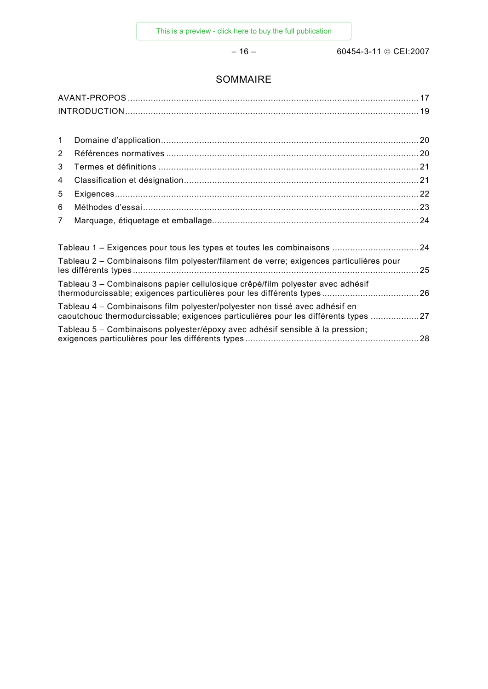$-16 - 60454 - 3 - 11 \odot \text{CE}$ 1:2007

# SOMMAIRE

| $\mathbf{1}$ |                                                                                                                                                                   |  |
|--------------|-------------------------------------------------------------------------------------------------------------------------------------------------------------------|--|
| 2            |                                                                                                                                                                   |  |
| 3            |                                                                                                                                                                   |  |
| 4            |                                                                                                                                                                   |  |
| 5            |                                                                                                                                                                   |  |
| 6            |                                                                                                                                                                   |  |
| 7            |                                                                                                                                                                   |  |
|              |                                                                                                                                                                   |  |
|              |                                                                                                                                                                   |  |
|              | Tableau 2 – Combinaisons film polyester/filament de verre; exigences particulières pour                                                                           |  |
|              |                                                                                                                                                                   |  |
|              | Tableau 3 – Combinaisons papier cellulosique crêpé/film polyester avec adhésif                                                                                    |  |
|              | Tableau 4 - Combinaisons film polyester/polyester non tissé avec adhésif en<br>caoutchouc thermodurcissable; exigences particulières pour les différents types 27 |  |
|              | Tableau 5 – Combinaisons polyester/époxy avec adhésif sensible à la pression;                                                                                     |  |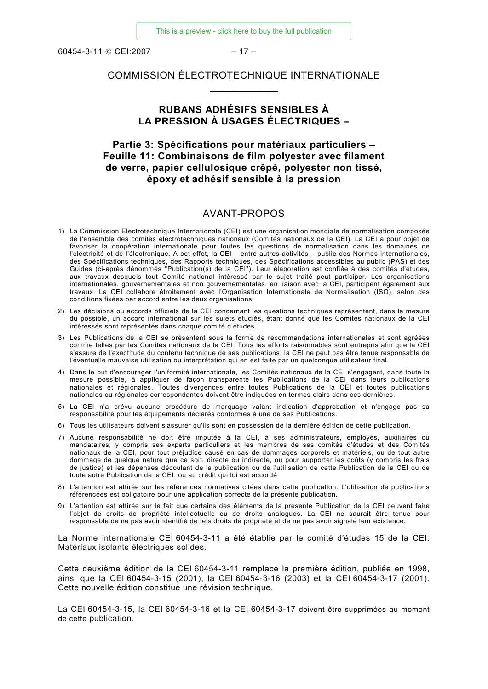$60454 - 3 - 11 \odot CF1:2007$  – 17 –

# COMMISSION ÉLECTROTECHNIQUE INTERNATIONALE  $\overline{\phantom{a}}$

## **RUBANS ADHÉSIFS SENSIBLES À LA PRESSION À USAGES ÉLECTRIQUES –**

#### **Partie 3: Spécifications pour matériaux particuliers – Feuille 11: Combinaisons de film polyester avec filament de verre, papier cellulosique crêpé, polyester non tissé, époxy et adhésif sensible à la pression**

#### AVANT-PROPOS

- 1) La Commission Electrotechnique Internationale (CEI) est une organisation mondiale de normalisation composée de l'ensemble des comités électrotechniques nationaux (Comités nationaux de la CEI). La CEI a pour objet de favoriser la coopération internationale pour toutes les questions de normalisation dans les domaines de l'électricité et de l'électronique. A cet effet, la CEI – entre autres activités – publie des Normes internationales, des Spécifications techniques, des Rapports techniques, des Spécifications accessibles au public (PAS) et des Guides (ci-après dénommés "Publication(s) de la CEI"). Leur élaboration est confiée à des comités d'études, aux travaux desquels tout Comité national intéressé par le sujet traité peut participer. Les organisations internationales, gouvernementales et non gouvernementales, en liaison avec la CEI, participent également aux travaux. La CEI collabore étroitement avec l'Organisation Internationale de Normalisation (ISO), selon des conditions fixées par accord entre les deux organisations.
- 2) Les décisions ou accords officiels de la CEI concernant les questions techniques représentent, dans la mesure du possible, un accord international sur les sujets étudiés, étant donné que les Comités nationaux de la CEI intéressés sont représentés dans chaque comité d'études.
- 3) Les Publications de la CEI se présentent sous la forme de recommandations internationales et sont agréées comme telles par les Comités nationaux de la CEI. Tous les efforts raisonnables sont entrepris afin que la CEI s'assure de l'exactitude du contenu technique de ses publications; la CEI ne peut pas être tenue responsable de l'éventuelle mauvaise utilisation ou interprétation qui en est faite par un quelconque utilisateur final.
- 4) Dans le but d'encourager l'uniformité internationale, les Comités nationaux de la CEI s'engagent, dans toute la mesure possible, à appliquer de façon transparente les Publications de la CEI dans leurs publications nationales et régionales. Toutes divergences entre toutes Publications de la CEI et toutes publications nationales ou régionales correspondantes doivent être indiquées en termes clairs dans ces dernières.
- 5) La CEI n'a prévu aucune procédure de marquage valant indication d'approbation et n'engage pas sa responsabilité pour les équipements déclarés conformes à une de ses Publications.
- 6) Tous les utilisateurs doivent s'assurer qu'ils sont en possession de la dernière édition de cette publication.
- 7) Aucune responsabilité ne doit être imputée à la CEI, à ses administrateurs, employés, auxiliaires ou mandataires, y compris ses experts particuliers et les membres de ses comités d'études et des Comités nationaux de la CEI, pour tout préjudice causé en cas de dommages corporels et matériels, ou de tout autre dommage de quelque nature que ce soit, directe ou indirecte, ou pour supporter les coûts (y compris les frais de justice) et les dépenses découlant de la publication ou de l'utilisation de cette Publication de la CEI ou de toute autre Publication de la CEI, ou au crédit qui lui est accordé.
- 8) L'attention est attirée sur les références normatives citées dans cette publication. L'utilisation de publications référencées est obligatoire pour une application correcte de la présente publication.
- 9) L'attention est attirée sur le fait que certains des éléments de la présente Publication de la CEI peuvent faire l'objet de droits de propriété intellectuelle ou de droits analogues. La CEI ne saurait être tenue pour responsable de ne pas avoir identifié de tels droits de propriété et de ne pas avoir signalé leur existence.

La Norme internationale CEI 60454-3-11 a été établie par le comité d'études 15 de la CEI: Matériaux isolants électriques solides.

Cette deuxième édition de la CEI 60454-3-11 remplace la première édition, publiée en 1998, ainsi que la CEI 60454-3-15 (2001), la CEI 60454-3-16 (2003) et la CEI 60454-3-17 (2001). Cette nouvelle édition constitue une révision technique.

La CEI 60454-3-15, la CEI 60454-3-16 et la CEI 60454-3-17 doivent être supprimées au moment de cette publication.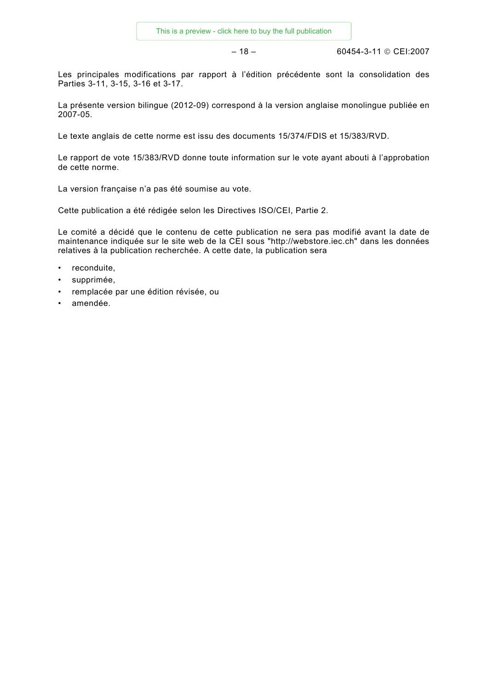$-18 - 18 - 60454 - 3 - 11 \circ \text{CE}1:2007$ 

Les principales modifications par rapport à l'édition précédente sont la consolidation des Parties 3-11, 3-15, 3-16 et 3-17.

La présente version bilingue (2012-09) correspond à la version anglaise monolingue publiée en 2007-05.

Le texte anglais de cette norme est issu des documents 15/374/FDIS et 15/383/RVD.

Le rapport de vote 15/383/RVD donne toute information sur le vote ayant abouti à l'approbation de cette norme.

La version française n'a pas été soumise au vote.

Cette publication a été rédigée selon les Directives ISO/CEI, Partie 2.

Le comité a décidé que le contenu de cette publication ne sera pas modifié avant la date de maintenance indiquée sur le site web de la CEI sous "http://webstore.iec.ch" dans les données relatives à la publication recherchée. A cette date, la publication sera

- reconduite,
- supprimée,
- remplacée par une édition révisée, ou
- amendée.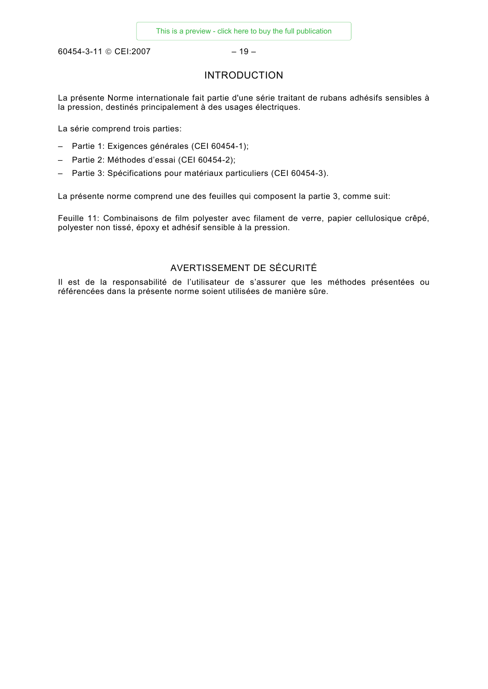$60454-3-11$  © CEI:2007 – 19 –

#### INTRODUCTION

La présente Norme internationale fait partie d'une série traitant de rubans adhésifs sensibles à la pression, destinés principalement à des usages électriques.

La série comprend trois parties:

- Partie 1: Exigences générales (CEI 60454-1);
- Partie 2: Méthodes d'essai (CEI 60454-2);
- Partie 3: Spécifications pour matériaux particuliers (CEI 60454-3).

La présente norme comprend une des feuilles qui composent la partie 3, comme suit:

Feuille 11: Combinaisons de film polyester avec filament de verre, papier cellulosique crêpé, polyester non tissé, époxy et adhésif sensible à la pression.

#### AVERTISSEMENT DE SÉCURITÉ

Il est de la responsabilité de l'utilisateur de s'assurer que les méthodes présentées ou référencées dans la présente norme soient utilisées de manière sûre.